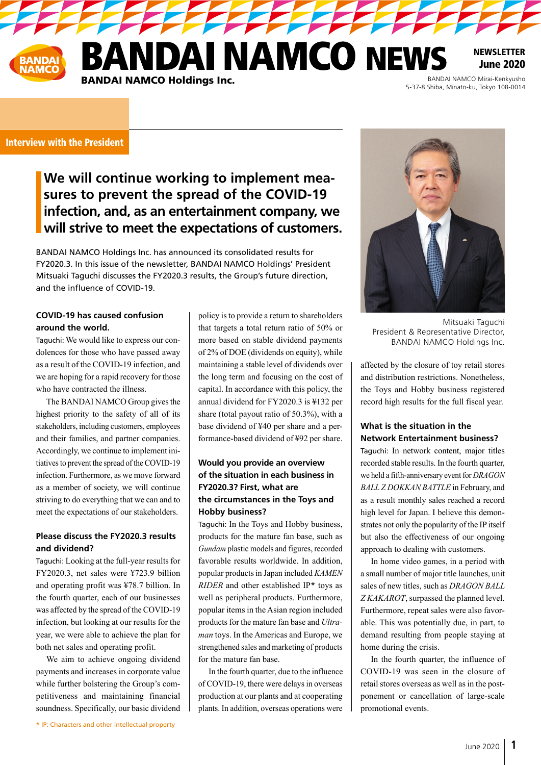**JDAI NAMCO NEWS BANDAI NAMCO Holdings Inc.** 

BANDAI NAMCO Mirai-Kenkyusho<br>5-37-8 Shiba, Minato-ku, Tokyo 108-0014

NEWSLETTER June 2020

#### Interview with the President

# **We will continue working to implement measures to prevent the spread of the COVID-19 infection, and, as an entertainment company, we will strive to meet the expectations of customers.**

BANDAI NAMCO Holdings Inc. has announced its consolidated results for FY2020.3. In this issue of the newsletter, BANDAI NAMCO Holdings' President Mitsuaki Taguchi discusses the FY2020.3 results, the Group's future direction, and the influence of COVID-19.

## **COVID-19 has caused confusion around the world.**

Taguchi: We would like to express our condolences for those who have passed away as a result of the COVID-19 infection, and we are hoping for a rapid recovery for those who have contracted the illness.

The BANDAI NAMCO Group gives the highest priority to the safety of all of its stakeholders, including customers, employees and their families, and partner companies. Accordingly, we continue to implement initiatives to prevent the spread of the COVID-19 infection. Furthermore, as we move forward as a member of society, we will continue striving to do everything that we can and to meet the expectations of our stakeholders.

## **Please discuss the FY2020.3 results and dividend?**

Taguchi: Looking at the full-year results for FY2020.3, net sales were ¥723.9 billion and operating profit was ¥78.7 billion. In the fourth quarter, each of our businesses was affected by the spread of the COVID-19 infection, but looking at our results for the year, we were able to achieve the plan for both net sales and operating profit.

We aim to achieve ongoing dividend payments and increases in corporate value while further bolstering the Group's competitiveness and maintaining financial soundness. Specifically, our basic dividend

policy is to provide a return to shareholders that targets a total return ratio of 50% or more based on stable dividend payments of 2% of DOE (dividends on equity), while maintaining a stable level of dividends over the long term and focusing on the cost of capital. In accordance with this policy, the annual dividend for FY2020.3 is ¥132 per share (total payout ratio of 50.3%), with a base dividend of ¥40 per share and a performance-based dividend of ¥92 per share.

## **Would you provide an overview of the situation in each business in FY2020.3? First, what are the circumstances in the Toys and Hobby business?**

Taguchi: In the Toys and Hobby business, products for the mature fan base, such as *Gundam* plastic models and figures, recorded favorable results worldwide. In addition, popular products in Japan included *KAMEN RIDER* and other established IP\* toys as well as peripheral products. Furthermore, popular items in the Asian region included products for the mature fan base and *Ultraman* toys. In the Americas and Europe, we strengthened sales and marketing of products for the mature fan base.

In the fourth quarter, due to the influence of COVID-19, there were delays in overseas production at our plants and at cooperating plants. In addition, overseas operations were



Mitsuaki Taguchi President & Representative Director, BANDAI NAMCO Holdings Inc.

affected by the closure of toy retail stores and distribution restrictions. Nonetheless, the Toys and Hobby business registered record high results for the full fiscal year.

#### **What is the situation in the Network Entertainment business?**

Taguchi: In network content, major titles recorded stable results. In the fourth quarter, we held a fifth-anniversary event for *DRAGON BALL Z DOKKAN BATTLE* in February, and as a result monthly sales reached a record high level for Japan. I believe this demonstrates not only the popularity of the IP itself but also the effectiveness of our ongoing approach to dealing with customers.

In home video games, in a period with a small number of major title launches, unit sales of new titles, such as *DRAGON BALL Z KAKAROT*, surpassed the planned level. Furthermore, repeat sales were also favorable. This was potentially due, in part, to demand resulting from people staying at home during the crisis.

In the fourth quarter, the influence of COVID-19 was seen in the closure of retail stores overseas as well as in the postponement or cancellation of large-scale promotional events.